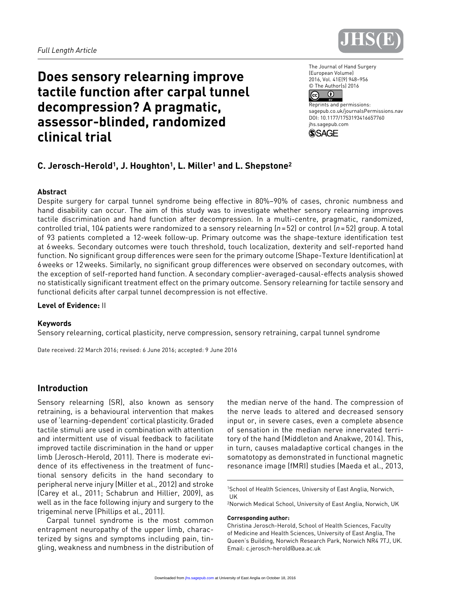

# **Does sensory relearning improve tactile function after carpal tunnel decompression? A pragmatic, assessor-blinded, randomized clinical trial**

The Journal of Hand Surgery (European Volume) 2016, Vol. 41E(9) 948–956 © The Author(s) 2016  $\bullet$  $\odot$ 

Reprints and permissions: sagepub.co.uk/journalsPermissions.nav DOI: 10.1177/1753193416657760 jhs.sagepub.com



# **C. Jerosch-Herold1, J. Houghton1, L. Miller1 and L. Shepstone2**

### **Abstract**

Despite surgery for carpal tunnel syndrome being effective in 80%–90% of cases, chronic numbness and hand disability can occur. The aim of this study was to investigate whether sensory relearning improves tactile discrimination and hand function after decompression. In a multi-centre, pragmatic, randomized, controlled trial, 104 patients were randomized to a sensory relearning (*n*=52) or control (*n*=52) group. A total of 93 patients completed a 12-week follow-up. Primary outcome was the shape-texture identification test at 6weeks. Secondary outcomes were touch threshold, touch localization, dexterity and self-reported hand function. No significant group differences were seen for the primary outcome (Shape-Texture Identification) at 6weeks or 12weeks. Similarly, no significant group differences were observed on secondary outcomes, with the exception of self-reported hand function. A secondary complier-averaged-causal-effects analysis showed no statistically significant treatment effect on the primary outcome. Sensory relearning for tactile sensory and functional deficits after carpal tunnel decompression is not effective.

**Level of Evidence:** II

#### **Keywords**

Sensory relearning, cortical plasticity, nerve compression, sensory retraining, carpal tunnel syndrome

Date received: 22 March 2016; revised: 6 June 2016; accepted: 9 June 2016

# **Introduction**

Sensory relearning (SR), also known as sensory retraining, is a behavioural intervention that makes use of 'learning-dependent' cortical plasticity. Graded tactile stimuli are used in combination with attention and intermittent use of visual feedback to facilitate improved tactile discrimination in the hand or upper limb (Jerosch-Herold, 2011). There is moderate evidence of its effectiveness in the treatment of functional sensory deficits in the hand secondary to peripheral nerve injury (Miller et al., 2012) and stroke (Carey et al., 2011; Schabrun and Hillier, 2009), as well as in the face following injury and surgery to the trigeminal nerve (Phillips et al., 2011).

Carpal tunnel syndrome is the most common entrapment neuropathy of the upper limb, characterized by signs and symptoms including pain, tingling, weakness and numbness in the distribution of the median nerve of the hand. The compression of the nerve leads to altered and decreased sensory input or, in severe cases, even a complete absence of sensation in the median nerve innervated territory of the hand (Middleton and Anakwe, 2014). This, in turn, causes maladaptive cortical changes in the somatotopy as demonstrated in functional magnetic resonance image (fMRI) studies (Maeda et al., 2013,

#### **Corresponding author:**

<sup>1</sup>School of Health Sciences, University of East Anglia, Norwich, UK

<sup>2</sup>Norwich Medical School, University of East Anglia, Norwich, UK

Christina Jerosch-Herold, School of Health Sciences, Faculty of Medicine and Health Sciences, University of East Anglia, The Queen's Building, Norwich Research Park, Norwich NR4 7TJ, UK. Email: [c.jerosch-herold@uea.ac.uk](mailto:c.jerosch-herold@uea.ac.uk)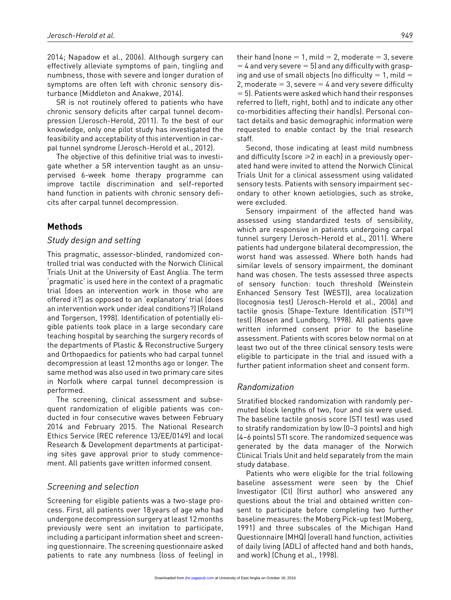2014; Napadow et al., 2006). Although surgery can effectively alleviate symptoms of pain, tingling and numbness, those with severe and longer duration of symptoms are often left with chronic sensory disturbance (Middleton and Anakwe, 2014).

SR is not routinely offered to patients who have chronic sensory deficits after carpal tunnel decompression (Jerosch-Herold, 2011). To the best of our knowledge, only one pilot study has investigated the feasibility and acceptability of this intervention in carpal tunnel syndrome (Jerosch-Herold et al., 2012).

The objective of this definitive trial was to investigate whether a SR intervention taught as an unsupervised 6-week home therapy programme can improve tactile discrimination and self-reported hand function in patients with chronic sensory deficits after carpal tunnel decompression.

## **Methods**

### *Study design and setting*

This pragmatic, assessor-blinded, randomized controlled trial was conducted with the Norwich Clinical Trials Unit at the University of East Anglia. The term 'pragmatic' is used here in the context of a pragmatic trial (does an intervention work in those who are offered it?) as opposed to an 'explanatory' trial (does an intervention work under ideal conditions?) (Roland and Torgerson, 1998). Identification of potentially eligible patients took place in a large secondary care teaching hospital by searching the surgery records of the departments of Plastic & Reconstructive Surgery and Orthopaedics for patients who had carpal tunnel decompression at least 12months ago or longer. The same method was also used in two primary care sites in Norfolk where carpal tunnel decompression is performed.

The screening, clinical assessment and subsequent randomization of eligible patients was conducted in four consecutive waves between February 2014 and February 2015. The National Research Ethics Service (REC reference 13/EE/0149) and local Research & Development departments at participating sites gave approval prior to study commencement. All patients gave written informed consent.

### *Screening and selection*

Screening for eligible patients was a two-stage process. First, all patients over 18years of age who had undergone decompression surgery at least 12months previously were sent an invitation to participate, including a participant information sheet and screening questionnaire. The screening questionnaire asked patients to rate any numbness (loss of feeling) in their hand (none  $= 1$ , mild  $= 2$ , moderate  $= 3$ , severe  $=$  4 and very severe  $=$  5) and any difficulty with grasping and use of small objects (no difficulty  $= 1$ , mild  $=$ 2, moderate  $= 3$ , severe  $= 4$  and very severe difficulty  $= 5$ ). Patients were asked which hand their responses referred to (left, right, both) and to indicate any other co-morbidities affecting their hand(s). Personal contact details and basic demographic information were requested to enable contact by the trial research staff.

Second, those indicating at least mild numbness and difficulty (score  $\geq 2$  in each) in a previously operated hand were invited to attend the Norwich Clinical Trials Unit for a clinical assessment using validated sensory tests. Patients with sensory impairment secondary to other known aetiologies, such as stroke, were excluded.

Sensory impairment of the affected hand was assessed using standardized tests of sensibility, which are responsive in patients undergoing carpal tunnel surgery (Jerosch-Herold et al., 2011). Where patients had undergone bilateral decompression, the worst hand was assessed. Where both hands had similar levels of sensory impairment, the dominant hand was chosen. The tests assessed three aspects of sensory function: touch threshold (Weinstein Enhanced Sensory Test (WEST)), area localization (locognosia test) (Jerosch-Herold et al., 2006) and tactile gnosis (Shape-Texture Identification (STITM) test) (Rosen and Lundborg, 1998). All patients gave written informed consent prior to the baseline assessment. Patients with scores below normal on at least two out of the three clinical sensory tests were eligible to participate in the trial and issued with a further patient information sheet and consent form.

### *Randomization*

Stratified blocked randomization with randomly permuted block lengths of two, four and six were used. The baseline tactile gnosis score (STI test) was used to stratify randomization by low (0–3 points) and high (4–6 points) STI score. The randomized sequence was generated by the data manager of the Norwich Clinical Trials Unit and held separately from the main study database.

Patients who were eligible for the trial following baseline assessment were seen by the Chief Investigator (CI) (first author) who answered any questions about the trial and obtained written consent to participate before completing two further baseline measures: the Moberg Pick-up test (Moberg, 1991) and three subscales of the Michigan Hand Questionnaire (MHQ) (overall hand function, activities of daily living (ADL) of affected hand and both hands, and work) (Chung et al., 1998).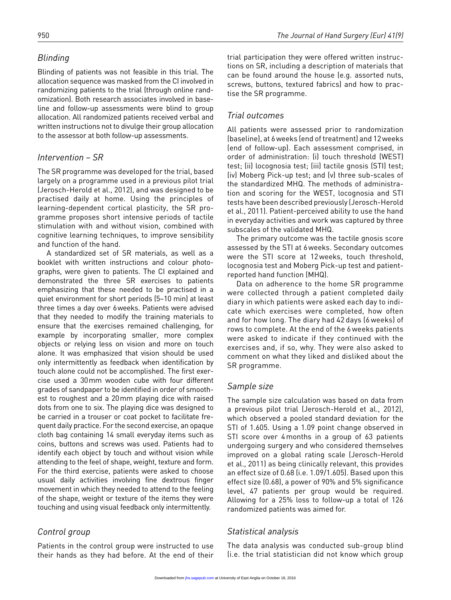# *Blinding*

Blinding of patients was not feasible in this trial. The allocation sequence was masked from the CI involved in randomizing patients to the trial (through online randomization). Both research associates involved in baseline and follow-up assessments were blind to group allocation. All randomized patients received verbal and written instructions not to divulge their group allocation to the assessor at both follow-up assessments.

# *Intervention – SR*

The SR programme was developed for the trial, based largely on a programme used in a previous pilot trial (Jerosch-Herold et al., 2012), and was designed to be practised daily at home. Using the principles of learning-dependent cortical plasticity, the SR programme proposes short intensive periods of tactile stimulation with and without vision, combined with cognitive learning techniques, to improve sensibility and function of the hand.

A standardized set of SR materials, as well as a booklet with written instructions and colour photographs, were given to patients. The CI explained and demonstrated the three SR exercises to patients emphasizing that these needed to be practised in a quiet environment for short periods (5–10 min) at least three times a day over 6weeks. Patients were advised that they needed to modify the training materials to ensure that the exercises remained challenging, for example by incorporating smaller, more complex objects or relying less on vision and more on touch alone. It was emphasized that vision should be used only intermittently as feedback when identification by touch alone could not be accomplished. The first exercise used a 30mm wooden cube with four different grades of sandpaper to be identified in order of smoothest to roughest and a 20mm playing dice with raised dots from one to six. The playing dice was designed to be carried in a trouser or coat pocket to facilitate frequent daily practice. For the second exercise, an opaque cloth bag containing 14 small everyday items such as coins, buttons and screws was used. Patients had to identify each object by touch and without vision while attending to the feel of shape, weight, texture and form. For the third exercise, patients were asked to choose usual daily activities involving fine dextrous finger movement in which they needed to attend to the feeling of the shape, weight or texture of the items they were touching and using visual feedback only intermittently.

# *Control group*

Patients in the control group were instructed to use their hands as they had before. At the end of their trial participation they were offered written instructions on SR, including a description of materials that can be found around the house (e.g. assorted nuts, screws, buttons, textured fabrics) and how to practise the SR programme.

# *Trial outcomes*

All patients were assessed prior to randomization (baseline), at 6weeks (end of treatment) and 12weeks (end of follow-up). Each assessment comprised, in order of administration: (i) touch threshold (WEST) test; (ii) locognosia test; (iii) tactile gnosis (STI) test; (iv) Moberg Pick-up test; and (v) three sub-scales of the standardized MHQ. The methods of administration and scoring for the WEST, locognosia and STI tests have been described previously (Jerosch-Herold et al., 2011). Patient-perceived ability to use the hand in everyday activities and work was captured by three subscales of the validated MHQ.

The primary outcome was the tactile gnosis score assessed by the STI at 6weeks. Secondary outcomes were the STI score at 12weeks, touch threshold, locognosia test and Moberg Pick-up test and patientreported hand function (MHQ).

Data on adherence to the home SR programme were collected through a patient completed daily diary in which patients were asked each day to indicate which exercises were completed, how often and for how long. The diary had 42 days (6 weeks) of rows to complete. At the end of the 6 weeks patients were asked to indicate if they continued with the exercises and, if so, why. They were also asked to comment on what they liked and disliked about the SR programme.

# *Sample size*

The sample size calculation was based on data from a previous pilot trial (Jerosch-Herold et al., 2012), which observed a pooled standard deviation for the STI of 1.605. Using a 1.09 point change observed in STI score over 4 months in a group of 63 patients undergoing surgery and who considered themselves improved on a global rating scale (Jerosch-Herold et al., 2011) as being clinically relevant, this provides an effect size of 0.68 (i.e. 1.09/1.605). Based upon this effect size (0.68), a power of 90% and 5% significance level, 47 patients per group would be required. Allowing for a 25% loss to follow-up a total of 126 randomized patients was aimed for.

# *Statistical analysis*

The data analysis was conducted sub-group blind (i.e. the trial statistician did not know which group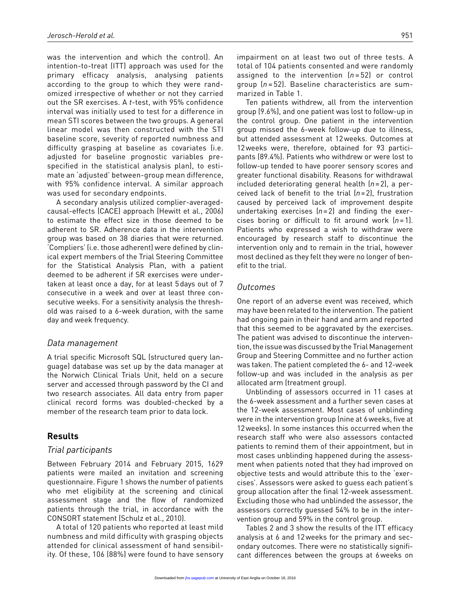was the intervention and which the control). An intention-to-treat (ITT) approach was used for the primary efficacy analysis, analysing patients according to the group to which they were randomized irrespective of whether or not they carried out the SR exercises. A *t*-test, with 95% confidence interval was initially used to test for a difference in mean STI scores between the two groups. A general linear model was then constructed with the STI baseline score, severity of reported numbness and difficulty grasping at baseline as covariates (i.e. adjusted for baseline prognostic variables prespecified in the statistical analysis plan), to estimate an 'adjusted' between-group mean difference, with 95% confidence interval. A similar approach was used for secondary endpoints.

A secondary analysis utilized complier-averagedcausal-effects (CACE) approach (Hewitt et al., 2006) to estimate the effect size in those deemed to be adherent to SR. Adherence data in the intervention group was based on 38 diaries that were returned. 'Compliers' (i.e. those adherent) were defined by clinical expert members of the Trial Steering Committee for the Statistical Analysis Plan, with a patient deemed to be adherent if SR exercises were undertaken at least once a day, for at least 5days out of 7 consecutive in a week and over at least three consecutive weeks. For a sensitivity analysis the threshold was raised to a 6-week duration, with the same day and week frequency.

#### *Data management*

A trial specific Microsoft SQL (structured query language) database was set up by the data manager at the Norwich Clinical Trials Unit, held on a secure server and accessed through password by the CI and two research associates. All data entry from paper clinical record forms was doubled-checked by a member of the research team prior to data lock.

### **Results**

#### *Trial participants*

Between February 2014 and February 2015, 1629 patients were mailed an invitation and screening questionnaire. Figure 1 shows the number of patients who met eligibility at the screening and clinical assessment stage and the flow of randomized patients through the trial, in accordance with the CONSORT statement (Schulz et al., 2010).

A total of 120 patients who reported at least mild numbness and mild difficulty with grasping objects attended for clinical assessment of hand sensibility. Of these, 106 (88%) were found to have sensory impairment on at least two out of three tests. A total of 104 patients consented and were randomly assigned to the intervention (*n* = 52) or control group (*n* = 52). Baseline characteristics are summarized in Table 1.

Ten patients withdrew, all from the intervention group (9.6%), and one patient was lost to follow-up in the control group. One patient in the intervention group missed the 6-week follow-up due to illness, but attended assessment at 12weeks. Outcomes at 12weeks were, therefore, obtained for 93 participants (89.4%). Patients who withdrew or were lost to follow-up tended to have poorer sensory scores and greater functional disability. Reasons for withdrawal included deteriorating general health (*n*=2), a perceived lack of benefit to the trial (*n*=2), frustration caused by perceived lack of improvement despite undertaking exercises (*n*=2) and finding the exercises boring or difficult to fit around work (*n*=1). Patients who expressed a wish to withdraw were encouraged by research staff to discontinue the intervention only and to remain in the trial, however most declined as they felt they were no longer of benefit to the trial.

#### *Outcomes*

One report of an adverse event was received, which may have been related to the intervention. The patient had ongoing pain in their hand and arm and reported that this seemed to be aggravated by the exercises. The patient was advised to discontinue the intervention, the issue was discussed by the Trial Management Group and Steering Committee and no further action was taken. The patient completed the 6- and 12-week follow-up and was included in the analysis as per allocated arm (treatment group).

Unblinding of assessors occurred in 11 cases at the 6-week assessment and a further seven cases at the 12-week assessment. Most cases of unblinding were in the intervention group (nine at 6weeks, five at 12weeks). In some instances this occurred when the research staff who were also assessors contacted patients to remind them of their appointment, but in most cases unblinding happened during the assessment when patients noted that they had improved on objective tests and would attribute this to the 'exercises'. Assessors were asked to guess each patient's group allocation after the final 12-week assessment. Excluding those who had unblinded the assessor, the assessors correctly guessed 54% to be in the intervention group and 59% in the control group.

Tables 2 and 3 show the results of the ITT efficacy analysis at 6 and 12weeks for the primary and secondary outcomes. There were no statistically significant differences between the groups at 6weeks on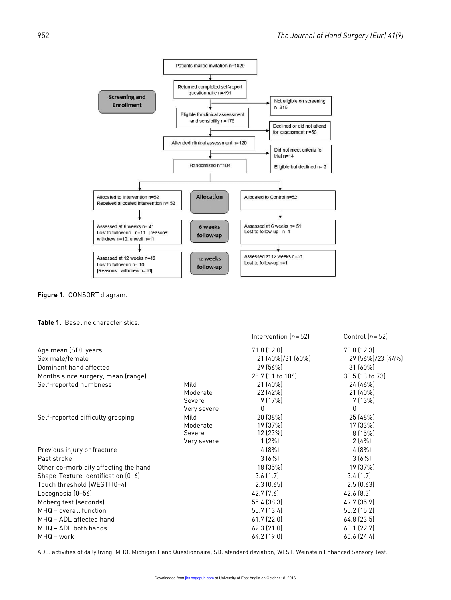

**Figure 1.** CONSORT diagram.

|                                       |                                           | Intervention $(n=52)$                        | Control $(n=52)$                        |
|---------------------------------------|-------------------------------------------|----------------------------------------------|-----------------------------------------|
| Age mean (SD), years                  |                                           | 71.8(12.0)                                   | 70.8 (12.3)                             |
| Sex male/female                       |                                           | 21 (40%)/31 (60%)                            | 29 (56%)/23 (44%)                       |
| Dominant hand affected                |                                           | 29 (56%)                                     | $31(60\%)$                              |
| Months since surgery, mean (range)    |                                           | 28.7 (11 to 106)                             | 30.5 (13 to 73)                         |
| Self-reported numbness                | Mild<br>Moderate<br>Severe<br>Very severe | 21 (40%)<br>22 (42%)<br>9(17%)<br>0          | 24 (46%)<br>21 (40%)<br>7(13%)<br>0     |
| Self-reported difficulty grasping     | Mild<br>Moderate<br>Severe<br>Very severe | 20 (38%)<br>19 (37%)<br>12 (23%)<br>$1(2\%)$ | 25 (48%)<br>17 (33%)<br>8(15%)<br>2(4%) |
| Previous injury or fracture           |                                           | 4(8%)                                        | 4(8%)                                   |
| Past stroke                           |                                           | 3(6%)                                        | 3(6%)                                   |
| Other co-morbidity affecting the hand |                                           | 18 (35%)                                     | 19 (37%)                                |
| Shape-Texture Identification (0-6)    |                                           | 3.6(1.7)                                     | 3.4(1.7)                                |
| Touch threshold (WEST) (0-4)          |                                           | 2.3(0.65)                                    | 2.5(0.63)                               |
| Locognosia (0-56)                     |                                           | 42.7 (7.6)                                   | 42.6 (8.3)                              |
| Moberg test (seconds)                 |                                           | 55.4 (38.3)                                  | 49.7 (35.9)                             |
| MHQ - overall function                |                                           | 55.7 (13.4)                                  | 55.2 (15.2)                             |
| MHQ - ADL affected hand               |                                           | 61.7(22.0)                                   | 64.8 (23.5)                             |
| MHQ - ADL both hands<br>MHQ - work    |                                           | $62.3$ $(21.0)$<br>64.2 (19.0)               | 60.1 (22.7)<br>60.6 (24.4)              |

ADL: activities of daily living; MHQ: Michigan Hand Questionnaire; SD: standard deviation; WEST: Weinstein Enhanced Sensory Test.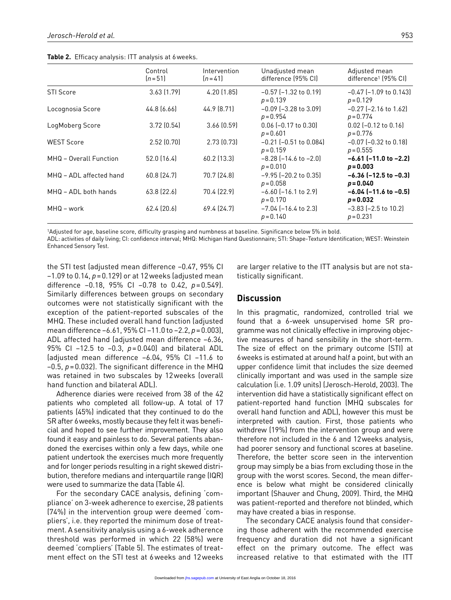**Table 2.** Efficacy analysis: ITT analysis at 6weeks.

|                         | Control<br>$[n=51]$ | Intervention<br>$[n=41]$ | Unadjusted mean<br>difference (95% CI)       | Adjusted mean<br>difference <sup>1</sup> (95% CI) |
|-------------------------|---------------------|--------------------------|----------------------------------------------|---------------------------------------------------|
| <b>STI Score</b>        | 3.63(1.79)          | 4.20(1.85)               | $-0.57$ ( $-1.32$ to 0.19)<br>$p = 0.139$    | $-0.47$ ( $-1.09$ to 0.143)<br>$p = 0.129$        |
| Locognosia Score        | 44.8 (6.66)         | 44.9 (8.71)              | $-0.09$ ( $-3.28$ to 3.09)<br>$p = 0.954$    | $-0.27$ ( $-2.16$ to 1.62)<br>$p = 0.774$         |
| LogMoberg Score         | 3.72(0.54)          | 3.66(0.59)               | $0.06$ (-0.17 to 0.30)<br>$p = 0.601$        | $0.02$ (-0.12 to 0.16)<br>$p = 0.776$             |
| <b>WEST Score</b>       | 2.52(0.70)          | 2.73(0.73)               | $-0.21$ ( $-0.51$ to 0.084)<br>$p = 0.159$   | $-0.07$ ( $-0.32$ to 0.18)<br>$p = 0.555$         |
| MHQ - Overall Function  | 52.0(16.4)          | $60.2$ (13.3)            | $-8.28$ ( $-14.6$ to $-2.0$ )<br>$p = 0.010$ | $-6.61$ ( $-11.0$ to $-2.2$ )<br>$p = 0.003$      |
| MHQ - ADL affected hand | 60.8 (24.7)         | 70.7 (24.8)              | $-9.95$ ( $-20.2$ to 0.35)<br>$p = 0.058$    | $-6.36$ ( $-12.5$ to $-0.3$ )<br>$p = 0.040$      |
| MHQ - ADL both hands    | 63.8(22.6)          | 70.4 (22.9)              | $-6.60$ ( $-16.1$ to 2.9)<br>$p = 0.170$     | $-6.04$ ( $-11.6$ to $-0.5$ )<br>$p = 0.032$      |
| MHQ – work              | 62.4(20.6)          | 69.4 (24.7)              | $-7.04$ ( $-16.4$ to 2.3)<br>$p = 0.140$     | $-3.83$ ( $-2.5$ to 10.2)<br>$p = 0.231$          |

1Adjusted for age, baseline score, difficulty grasping and numbness at baseline. Significance below 5% in bold.

ADL: activities of daily living; CI: confidence interval; MHQ: Michigan Hand Questionnaire; STI: Shape-Texture Identification; WEST: Weinstein Enhanced Sensory Test.

the STI test (adjusted mean difference −0.47, 95% CI −1.09 to 0.14, *p*=0.129) or at 12weeks (adjusted mean difference −0.18, 95% CI −0.78 to 0.42, *p*=0.549). Similarly differences between groups on secondary outcomes were not statistically significant with the exception of the patient-reported subscales of the MHQ. These included overall hand function (adjusted mean difference −6.61, 95% CI −11.0 to −2.2, *p*=0.003), ADL affected hand (adjusted mean difference −6.36, 95% CI −12.5 to −0.3, *p*=0.040) and bilateral ADL (adjusted mean difference −6.04, 95% CI −11.6 to –0.5, *p*=0.032). The significant difference in the MHQ was retained in two subscales by 12weeks (overall hand function and bilateral ADL).

Adherence diaries were received from 38 of the 42 patients who completed all follow-up. A total of 17 patients (45%) indicated that they continued to do the SR after 6weeks, mostly because they felt it was beneficial and hoped to see further improvement. They also found it easy and painless to do. Several patients abandoned the exercises within only a few days, while one patient undertook the exercises much more frequently and for longer periods resulting in a right skewed distribution, therefore medians and interquartile range (IQR) were used to summarize the data (Table 4).

For the secondary CACE analysis, defining 'compliance' on 3-week adherence to exercise, 28 patients (74%) in the intervention group were deemed 'compliers', i.e. they reported the minimum dose of treatment. A sensitivity analysis using a 6-week adherence threshold was performed in which 22 (58%) were deemed 'compliers' (Table 5). The estimates of treatment effect on the STI test at 6weeks and 12weeks

are larger relative to the ITT analysis but are not statistically significant.

### **Discussion**

In this pragmatic, randomized, controlled trial we found that a 6-week unsupervised home SR programme was not clinically effective in improving objective measures of hand sensibility in the short-term. The size of effect on the primary outcome (STI) at 6weeks is estimated at around half a point, but with an upper confidence limit that includes the size deemed clinically important and was used in the sample size calculation (i.e. 1.09 units) (Jerosch-Herold, 2003). The intervention did have a statistically significant effect on patient-reported hand function (MHQ subscales for overall hand function and ADL), however this must be interpreted with caution. First, those patients who withdrew (19%) from the intervention group and were therefore not included in the 6 and 12weeks analysis, had poorer sensory and functional scores at baseline. Therefore, the better score seen in the intervention group may simply be a bias from excluding those in the group with the worst scores. Second, the mean difference is below what might be considered clinically important (Shauver and Chung, 2009). Third, the MHQ was patient-reported and therefore not blinded, which may have created a bias in response.

The secondary CACE analysis found that considering those adherent with the recommended exercise frequency and duration did not have a significant effect on the primary outcome. The effect was increased relative to that estimated with the ITT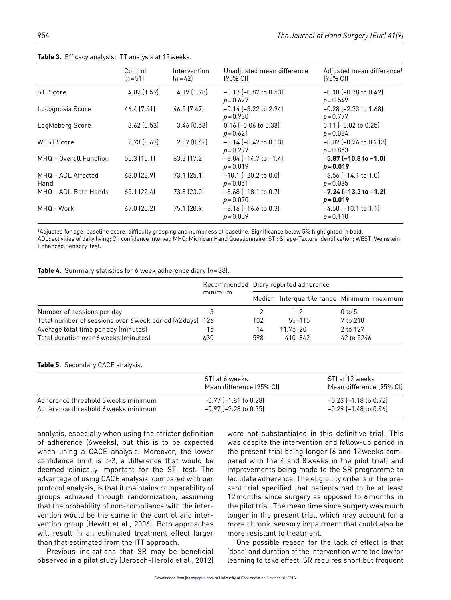|                            | Control<br>$[n=51]$ | Intervention<br>$[n=42]$ | Unadjusted mean difference<br>$(95% \text{ C}$ | Adjusted mean difference <sup>1</sup><br>$(95\% \text{ C})$ |
|----------------------------|---------------------|--------------------------|------------------------------------------------|-------------------------------------------------------------|
| <b>STI Score</b>           | $4.02$ (1.59)       | 4.19 (1.78)              | $-0.17$ ( $-0.87$ to 0.53)<br>$p = 0.627$      | $-0.18$ ( $-0.78$ to $0.42$ )<br>$p = 0.549$                |
| Locognosia Score           | 46.4 (7.41)         | 46.5 (7.47)              | $-0.14$ ( $-3.22$ to 2.94)<br>$p = 0.930$      | $-0.28$ ( $-2.23$ to 1.68)<br>$p = 0.777$                   |
| LogMoberg Score            | 3.62(0.53)          | 3.46(0.53)               | $0.16$ (-0.06 to 0.38)<br>$p = 0.621$          | $0.11$ (-0.02 to 0.25)<br>$p = 0.084$                       |
| <b>WEST Score</b>          | 2.73(0.69)          | 2.87(0.62)               | $-0.14$ ( $-0.42$ to 0.13)<br>$p = 0.297$      | $-0.02$ ( $-0.26$ to 0.213)<br>$p = 0.853$                  |
| MHQ - Overall Function     | 55.3(15.1)          | 63.3 (17.2)              | $-8.04$ ( $-14.7$ to $-1.4$ )<br>$p = 0.019$   | $-5.87$ (-10.8 to -1.0)<br>$p = 0.019$                      |
| MHQ - ADL Affected<br>Hand | 63.0 (23.9)         | 73.1(25.1)               | $-10.1$ ( $-20.2$ to 0.0)<br>$p = 0.051$       | $-6.56$ $(-14.1$ to $1.0)$<br>$p = 0.085$                   |
| MHQ - ADL Both Hands       | $65.1$ $(22.4)$     | 73.8 (23.0)              | $-8.68$ ( $-18.1$ to 0.7)<br>$p = 0.070$       | $-7.24$ ( $-13.3$ to $-1.2$ )<br>$p = 0.019$                |
| MHQ - Work                 | 67.0 (20.2)         | 75.1 (20.9)              | $-8.16$ ( $-16.6$ to 0.3)<br>$p = 0.059$       | $-4.50$ ( $-10.1$ to 1.1)<br>$p = 0.110$                    |

**Table 3.** Efficacy analysis: ITT analysis at 12weeks.

1Adjusted for age, baseline score, difficulty grasping and numbness at baseline. Significance below 5% highlighted in bold. ADL: activities of daily living; CI: confidence interval; MHQ: Michigan Hand Questionnaire; STI: Shape-Texture Identification; WEST: Weinstein Enhanced Sensory Test.

| Table 4. Summary statistics for 6 week adherence diary $(n=38)$ . |  |
|-------------------------------------------------------------------|--|
|-------------------------------------------------------------------|--|

|                                                           | minimum | Recommended Diary reported adherence |              |                                            |
|-----------------------------------------------------------|---------|--------------------------------------|--------------|--------------------------------------------|
|                                                           |         |                                      |              | Median Interquartile range Minimum-maximum |
| Number of sessions per day                                |         |                                      | $1 - 2$      | 0 <sub>to</sub> 5                          |
| Total number of sessions over 6 week period (42 days) 126 |         | 102                                  | $55 - 115$   | 7 to 210                                   |
| Average total time per day (minutes)                      | 15      | 14                                   | $11.75 - 20$ | 2 to 127                                   |
| Total duration over 6 weeks (minutes)                     | 630     | 598                                  | 410-842      | 42 to 5246                                 |

#### **Table 5.** Secondary CACE analysis.

|                                     | STI at 6 weeks<br>Mean difference (95% CI) | STI at 12 weeks<br>Mean difference (95% CI) |
|-------------------------------------|--------------------------------------------|---------------------------------------------|
| Adherence threshold 3 weeks minimum | -0.77 (-1.81 to 0.28)                      | $-0.23$ ( $-1.18$ to 0.72)                  |
| Adherence threshold 6 weeks minimum | $-0.97$ ( $-2.28$ to 0.35)                 | $-0.29$ ( $-1.48$ to 0.96)                  |

analysis, especially when using the stricter definition of adherence (6weeks), but this is to be expected when using a CACE analysis. Moreover, the lower confidence limit is  $>2$ , a difference that would be deemed clinically important for the STI test. The advantage of using CACE analysis, compared with per protocol analysis, is that it maintains comparability of groups achieved through randomization, assuming that the probability of non-compliance with the intervention would be the same in the control and intervention group (Hewitt et al., 2006). Both approaches will result in an estimated treatment effect larger than that estimated from the ITT approach.

Previous indications that SR may be beneficial observed in a pilot study (Jerosch-Herold et al., 2012) were not substantiated in this definitive trial. This was despite the intervention and follow-up period in the present trial being longer (6 and 12weeks compared with the 4 and 8weeks in the pilot trial) and improvements being made to the SR programme to facilitate adherence. The eligibility criteria in the present trial specified that patients had to be at least 12months since surgery as opposed to 6months in the pilot trial. The mean time since surgery was much longer in the present trial, which may account for a more chronic sensory impairment that could also be more resistant to treatment.

One possible reason for the lack of effect is that 'dose' and duration of the intervention were too low for learning to take effect. SR requires short but frequent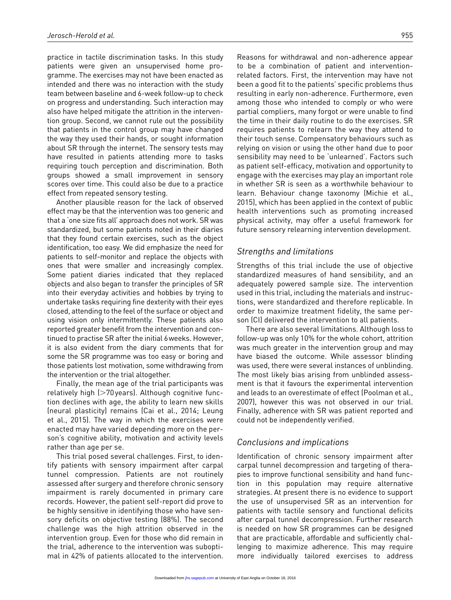practice in tactile discrimination tasks. In this study patients were given an unsupervised home programme. The exercises may not have been enacted as intended and there was no interaction with the study team between baseline and 6-week follow-up to check on progress and understanding. Such interaction may also have helped mitigate the attrition in the intervention group. Second, we cannot rule out the possibility that patients in the control group may have changed the way they used their hands, or sought information about SR through the internet. The sensory tests may have resulted in patients attending more to tasks requiring touch perception and discrimination. Both groups showed a small improvement in sensory scores over time. This could also be due to a practice effect from repeated sensory testing.

Another plausible reason for the lack of observed effect may be that the intervention was too generic and that a 'one size fits all' approach does not work. SR was standardized, but some patients noted in their diaries that they found certain exercises, such as the object identification, too easy. We did emphasize the need for patients to self-monitor and replace the objects with ones that were smaller and increasingly complex. Some patient diaries indicated that they replaced objects and also began to transfer the principles of SR into their everyday activities and hobbies by trying to undertake tasks requiring fine dexterity with their eyes closed, attending to the feel of the surface or object and using vision only intermittently. These patients also reported greater benefit from the intervention and continued to practise SR after the initial 6weeks. However, it is also evident from the diary comments that for some the SR programme was too easy or boring and those patients lost motivation, some withdrawing from the intervention or the trial altogether.

Finally, the mean age of the trial participants was relatively high (>70years). Although cognitive function declines with age, the ability to learn new skills (neural plasticity) remains (Cai et al., 2014; Leung et al., 2015). The way in which the exercises were enacted may have varied depending more on the person's cognitive ability, motivation and activity levels rather than age per se.

This trial posed several challenges. First, to identify patients with sensory impairment after carpal tunnel compression. Patients are not routinely assessed after surgery and therefore chronic sensory impairment is rarely documented in primary care records. However, the patient self-report did prove to be highly sensitive in identifying those who have sensory deficits on objective testing (88%). The second challenge was the high attrition observed in the intervention group. Even for those who did remain in the trial, adherence to the intervention was suboptimal in 42% of patients allocated to the intervention.

Reasons for withdrawal and non-adherence appear to be a combination of patient and interventionrelated factors. First, the intervention may have not been a good fit to the patients' specific problems thus resulting in early non-adherence. Furthermore, even among those who intended to comply or who were partial compliers, many forgot or were unable to find the time in their daily routine to do the exercises. SR requires patients to relearn the way they attend to their touch sense. Compensatory behaviours such as relying on vision or using the other hand due to poor sensibility may need to be 'unlearned'. Factors such as patient self-efficacy, motivation and opportunity to engage with the exercises may play an important role in whether SR is seen as a worthwhile behaviour to learn. Behaviour change taxonomy (Michie et al., 2015), which has been applied in the context of public health interventions such as promoting increased physical activity, may offer a useful framework for future sensory relearning intervention development.

### *Strengths and limitations*

Strengths of this trial include the use of objective standardized measures of hand sensibility, and an adequately powered sample size. The intervention used in this trial, including the materials and instructions, were standardized and therefore replicable. In order to maximize treatment fidelity, the same person (CI) delivered the intervention to all patients.

There are also several limitations. Although loss to follow-up was only 10% for the whole cohort, attrition was much greater in the intervention group and may have biased the outcome. While assessor blinding was used, there were several instances of unblinding. The most likely bias arising from unblinded assessment is that it favours the experimental intervention and leads to an overestimate of effect (Poolman et al., 2007), however this was not observed in our trial. Finally, adherence with SR was patient reported and could not be independently verified.

### *Conclusions and implications*

Identification of chronic sensory impairment after carpal tunnel decompression and targeting of therapies to improve functional sensibility and hand function in this population may require alternative strategies. At present there is no evidence to support the use of unsupervised SR as an intervention for patients with tactile sensory and functional deficits after carpal tunnel decompression. Further research is needed on how SR programmes can be designed that are practicable, affordable and sufficiently challenging to maximize adherence. This may require more individually tailored exercises to address